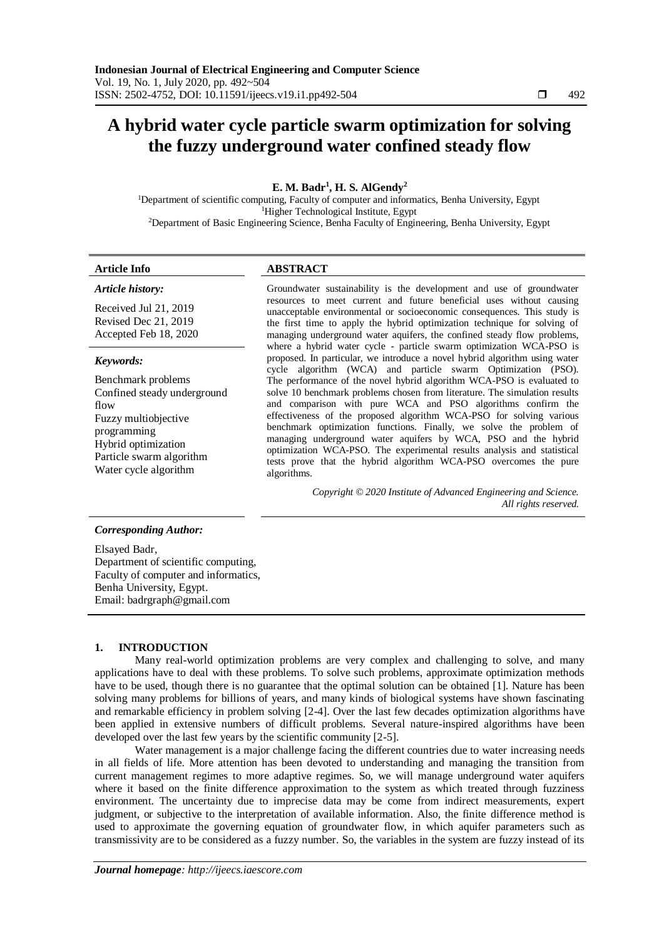# **A hybrid water cycle particle swarm optimization for solving the fuzzy underground water confined steady flow**

# **E. M. Badr<sup>1</sup> , H. S. AlGendy<sup>2</sup>**

<sup>1</sup>Department of scientific computing, Faculty of computer and informatics, Benha University, Egypt <sup>1</sup>Higher Technological Institute, Egypt <sup>2</sup>Department of Basic Engineering Science, Benha Faculty of Engineering, Benha University, Egypt

# **Article Info ABSTRACT**

*Article history:*

Received Jul 21, 2019 Revised Dec 21, 2019 Accepted Feb 18, 2020

#### *Keywords:*

Benchmark problems Confined steady underground flow Fuzzy multiobjective programming Hybrid optimization Particle swarm algorithm Water cycle algorithm

Groundwater sustainability is the development and use of groundwater resources to meet current and future beneficial uses without causing unacceptable environmental or socioeconomic consequences. This study is the first time to apply the hybrid optimization technique for solving of managing underground water aquifers, the confined steady flow problems, where a hybrid water cycle - particle swarm optimization WCA-PSO is proposed. In particular, we introduce a novel hybrid algorithm using water cycle algorithm (WCA) and particle swarm Optimization (PSO). The performance of the novel hybrid algorithm WCA-PSO is evaluated to solve 10 benchmark problems chosen from literature. The simulation results and comparison with pure WCA and PSO algorithms confirm the effectiveness of the proposed algorithm WCA-PSO for solving various benchmark optimization functions. Finally, we solve the problem of managing underground water aquifers by WCA, PSO and the hybrid optimization WCA-PSO. The experimental results analysis and statistical tests prove that the hybrid algorithm WCA-PSO overcomes the pure algorithms.

> *Copyright © 2020 Institute of Advanced Engineering and Science. All rights reserved.*

# *Corresponding Author:*

Elsayed Badr, Department of scientific computing, Faculty of computer and informatics, Benha University, Egypt. Email: badrgraph@gmail.com

#### **1. INTRODUCTION**

Many real-world optimization problems are very complex and challenging to solve, and many applications have to deal with these problems. To solve such problems, approximate optimization methods have to be used, though there is no guarantee that the optimal solution can be obtained [1]. Nature has been solving many problems for billions of years, and many kinds of biological systems have shown fascinating and remarkable efficiency in problem solving [2-4]. Over the last few decades optimization algorithms have been applied in extensive numbers of difficult problems. Several nature-inspired algorithms have been developed over the last few years by the scientific community [2-5].

Water management is a major challenge facing the different countries due to water increasing needs in all fields of life. More attention has been devoted to understanding and managing the transition from current management regimes to more adaptive regimes. So, we will manage underground water aquifers where it based on the finite difference approximation to the system as which treated through fuzziness environment. The uncertainty due to imprecise data may be come from indirect measurements, expert judgment, or subjective to the interpretation of available information. Also, the finite difference method is used to approximate the governing equation of groundwater flow, in which aquifer parameters such as transmissivity are to be considered as a fuzzy number. So, the variables in the system are fuzzy instead of its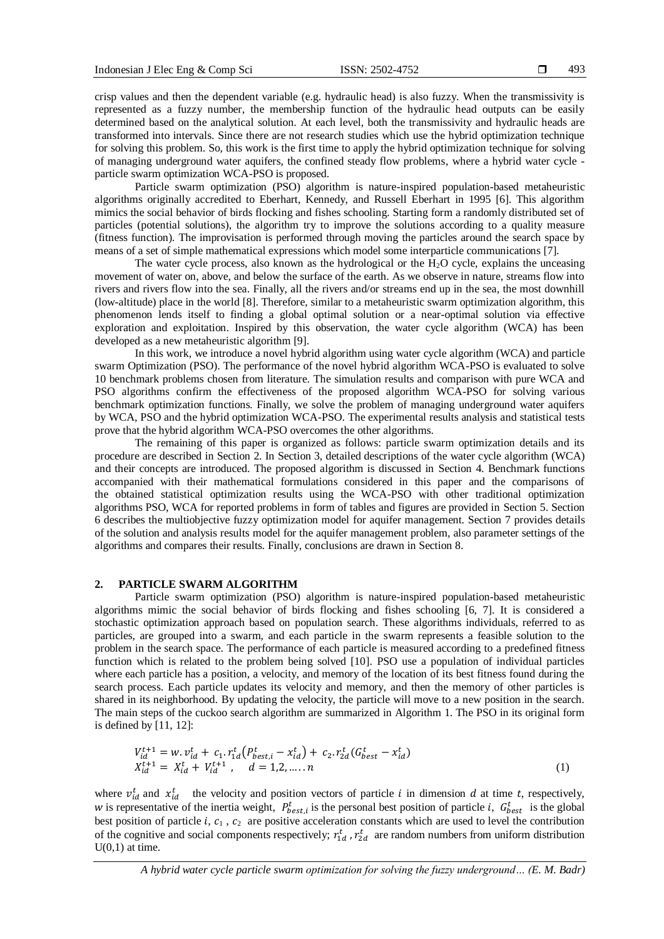crisp values and then the dependent variable (e.g. hydraulic head) is also fuzzy. When the transmissivity is represented as a fuzzy number, the membership function of the hydraulic head outputs can be easily determined based on the analytical solution. At each level, both the transmissivity and hydraulic heads are transformed into intervals. Since there are not research studies which use the hybrid optimization technique for solving this problem. So, this work is the first time to apply the hybrid optimization technique for solving of managing underground water aquifers, the confined steady flow problems, where a hybrid water cycle particle swarm optimization WCA-PSO is proposed.

Particle swarm optimization (PSO) algorithm is nature-inspired population-based metaheuristic algorithms originally accredited to Eberhart, Kennedy, and Russell Eberhart in 1995 [6]. This algorithm mimics the social behavior of birds flocking and fishes schooling. Starting form a randomly distributed set of particles (potential solutions), the algorithm try to improve the solutions according to a quality measure (fitness function). The improvisation is performed through moving the particles around the search space by means of a set of simple mathematical expressions which model some interparticle communications [7].

The water cycle process, also known as the hydrological or the  $H<sub>2</sub>O$  cycle, explains the unceasing movement of water on, above, and below the surface of the earth. As we observe in nature, streams flow into rivers and rivers flow into the sea. Finally, all the rivers and/or streams end up in the sea, the most downhill (low-altitude) place in the world [8]. Therefore, similar to a metaheuristic swarm optimization algorithm, this phenomenon lends itself to finding a global optimal solution or a near-optimal solution via effective exploration and exploitation. Inspired by this observation, the water cycle algorithm (WCA) has been developed as a new metaheuristic algorithm [9].

In this work, we introduce a novel hybrid algorithm using water cycle algorithm (WCA) and particle swarm Optimization (PSO). The performance of the novel hybrid algorithm WCA-PSO is evaluated to solve 10 benchmark problems chosen from literature. The simulation results and comparison with pure WCA and PSO algorithms confirm the effectiveness of the proposed algorithm WCA-PSO for solving various benchmark optimization functions. Finally, we solve the problem of managing underground water aquifers by WCA, PSO and the hybrid optimization WCA-PSO. The experimental results analysis and statistical tests prove that the hybrid algorithm WCA-PSO overcomes the other algorithms.

The remaining of this paper is organized as follows: particle swarm optimization details and its procedure are described in Section 2. In Section 3, detailed descriptions of the water cycle algorithm (WCA) and their concepts are introduced. The proposed algorithm is discussed in Section 4. Benchmark functions accompanied with their mathematical formulations considered in this paper and the comparisons of the obtained statistical optimization results using the WCA-PSO with other traditional optimization algorithms PSO, WCA for reported problems in form of tables and figures are provided in Section 5. Section 6 describes the multiobjective fuzzy optimization model for aquifer management. Section 7 provides details of the solution and analysis results model for the aquifer management problem, also parameter settings of the algorithms and compares their results. Finally, conclusions are drawn in Section 8.

#### **2. PARTICLE SWARM ALGORITHM**

Particle swarm optimization (PSO) algorithm is nature-inspired population-based metaheuristic algorithms mimic the social behavior of birds flocking and fishes schooling [6, 7]. It is considered a stochastic optimization approach based on population search. These algorithms individuals, referred to as particles, are grouped into a swarm, and each particle in the swarm represents a feasible solution to the problem in the search space. The performance of each particle is measured according to a predefined fitness function which is related to the problem being solved [10]. PSO use a population of individual particles where each particle has a position, a velocity, and memory of the location of its best fitness found during the search process. Each particle updates its velocity and memory, and then the memory of other particles is shared in its neighborhood. By updating the velocity, the particle will move to a new position in the search. The main steps of the cuckoo search algorithm are summarized in Algorithm 1. The PSO in its original form is defined by [11, 12]:

$$
V_{id}^{t+1} = w \cdot v_{id}^t + c_1 \cdot r_{1d}^t (P_{best,i}^t - x_{id}^t) + c_2 \cdot r_{2d}^t (G_{best}^t - x_{id}^t)
$$
  
\n
$$
X_{id}^{t+1} = X_{id}^t + V_{id}^{t+1}, \quad d = 1, 2, \dots, n
$$
\n(1)

where  $v_{id}^t$  and  $x_{id}^t$  the velocity and position vectors of particle *i* in dimension *d* at time *t*, respectively, w is representative of the inertia weight,  $P_{best,i}^t$  is the personal best position of particle *i*,  $G_{best}^t$  is the global best position of particle  $i, c_1, c_2$  are positive acceleration constants which are used to level the contribution of the cognitive and social components respectively;  $r_{1d}^t$ ,  $r_{2d}^t$  are random numbers from uniform distribution  $U(0,1)$  at time.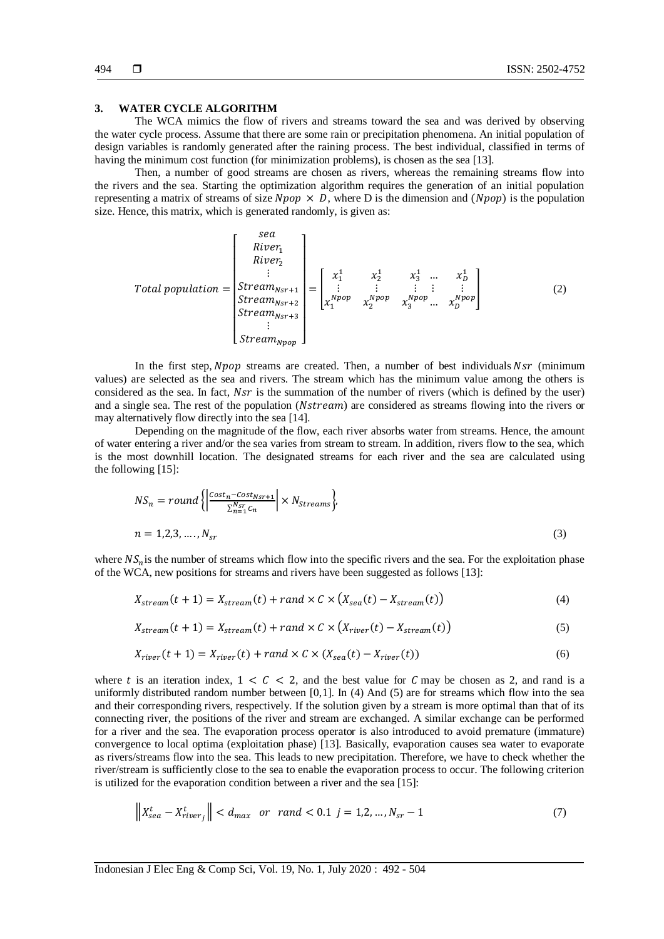## **3. WATER CYCLE ALGORITHM**

The WCA mimics the flow of rivers and streams toward the sea and was derived by observing the water cycle process. Assume that there are some rain or precipitation phenomena. An initial population of design variables is randomly generated after the raining process. The best individual, classified in terms of having the minimum cost function (for minimization problems), is chosen as the sea [13].

Then, a number of good streams are chosen as rivers, whereas the remaining streams flow into the rivers and the sea. Starting the optimization algorithm requires the generation of an initial population representing a matrix of streams of size  $Npop \times D$ , where D is the dimension and  $(Npop)$  is the population size. Hence, this matrix, which is generated randomly, is given as:

Total population = 
$$
\begin{bmatrix} \text{sea} \\ \text{River}_1 \\ \vdots \\ \text{Stream}_{\text{Nsr+1}} \\ \text{Stream}_{\text{Nsr+2}} \\ \text{Stream}_{\text{Nsr+3}} \\ \vdots \\ \text{Stream}_{\text{Npr}} \end{bmatrix} = \begin{bmatrix} x_1^1 & x_2^1 & x_3^1 & \dots & x_D^1 \\ \vdots & \vdots & \vdots & \vdots \\ x_1^{\text{Npop}} & x_2^{\text{Npop}} & x_3^{\text{Npop}} & \dots & x_D^{\text{Npop}} \\ \vdots \\ \text{Stream}_{\text{Npr}} \end{bmatrix}
$$
 (2)

In the first step,  $Npop$  streams are created. Then, a number of best individuals  $Nsr$  (minimum values) are selected as the sea and rivers. The stream which has the minimum value among the others is considered as the sea. In fact,  $Nsr$  is the summation of the number of rivers (which is defined by the user) and a single sea. The rest of the population (Nstream) are considered as streams flowing into the rivers or may alternatively flow directly into the sea [14].

Depending on the magnitude of the flow, each river absorbs water from streams. Hence, the amount of water entering a river and/or the sea varies from stream to stream. In addition, rivers flow to the sea, which is the most downhill location. The designated streams for each river and the sea are calculated using the following [15]:

$$
NS_n = round \left\{ \left| \frac{Cost_n - Cost_{Nsr+1}}{\sum_{n=1}^{Nsr} c_n} \right| \times N_{Streams} \right\},\
$$
  

$$
n = 1, 2, 3, ..., N_{sr}
$$
 (3)

where  $NS<sub>n</sub>$  is the number of streams which flow into the specific rivers and the sea. For the exploitation phase of the WCA, new positions for streams and rivers have been suggested as follows [13]:

$$
X_{stream}(t+1) = X_{stream}(t) + rand \times C \times (X_{sea}(t) - X_{stream}(t))
$$
\n<sup>(4)</sup>

$$
X_{stream}(t+1) = X_{stream}(t) + rand \times C \times (X_{river}(t) - X_{stream}(t))
$$
\n<sup>(5)</sup>

$$
X_{river}(t+1) = X_{river}(t) + rand \times C \times (X_{sea}(t) - X_{river}(t))
$$
\n
$$
(6)
$$

where t is an iteration index,  $1 < C < 2$ , and the best value for C may be chosen as 2, and rand is a uniformly distributed random number between [0,1]. In (4) And (5) are for streams which flow into the sea and their corresponding rivers, respectively. If the solution given by a stream is more optimal than that of its connecting river, the positions of the river and stream are exchanged. A similar exchange can be performed for a river and the sea. The evaporation process operator is also introduced to avoid premature (immature) convergence to local optima (exploitation phase) [13]. Basically, evaporation causes sea water to evaporate as rivers/streams flow into the sea. This leads to new precipitation. Therefore, we have to check whether the river/stream is sufficiently close to the sea to enable the evaporation process to occur. The following criterion is utilized for the evaporation condition between a river and the sea [15]:

$$
\left\| X_{sea}^t - X_{river_j}^t \right\| < d_{max} \ \text{or} \ \text{rand} < 0.1 \ \text{j} = 1, 2, \dots, N_{sr} - 1 \tag{7}
$$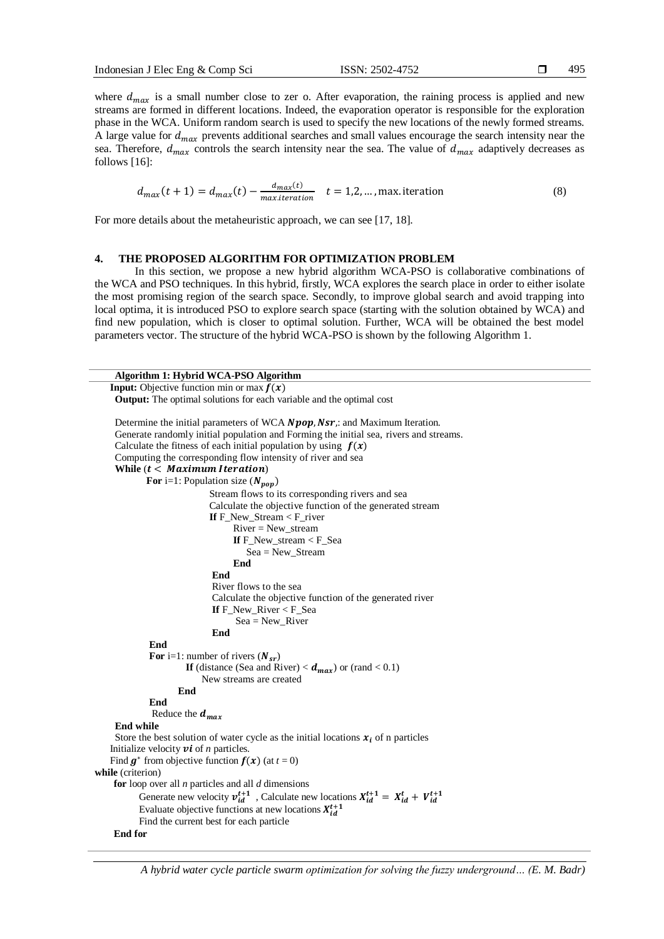495

where  $d_{max}$  is a small number close to zer o. After evaporation, the raining process is applied and new streams are formed in different locations. Indeed, the evaporation operator is responsible for the exploration phase in the WCA. Uniform random search is used to specify the new locations of the newly formed streams. A large value for  $d_{max}$  prevents additional searches and small values encourage the search intensity near the sea. Therefore,  $d_{max}$  controls the search intensity near the sea. The value of  $d_{max}$  adaptively decreases as follows [16]:

$$
d_{max}(t+1) = d_{max}(t) - \frac{d_{max}(t)}{max.iteration} \quad t = 1, 2, ..., \text{max. iteration}
$$
 (8)

For more details about the metaheuristic approach, we can see [17, 18].

#### **4. THE PROPOSED ALGORITHM FOR OPTIMIZATION PROBLEM**

In this section, we propose a new hybrid algorithm WCA-PSO is collaborative combinations of the WCA and PSO techniques. In this hybrid, firstly, WCA explores the search place in order to either isolate the most promising region of the search space. Secondly, to improve global search and avoid trapping into local optima, it is introduced PSO to explore search space (starting with the solution obtained by WCA) and find new population, which is closer to optimal solution. Further, WCA will be obtained the best model parameters vector. The structure of the hybrid WCA-PSO is shown by the following Algorithm 1.

```
Algorithm 1: Hybrid WCA-PSO Algorithm
   Input: Objective function min or max f(x)Output: The optimal solutions for each variable and the optimal cost
     Determine the initial parameters of WCA Npo, Nsr: and Maximum Iteration.
     Generate randomly initial population and Forming the initial sea, rivers and streams.
     Calculate the fitness of each initial population by using f(x)Computing the corresponding flow intensity of river and sea
     While (t < Maximum Iteration)For i=1: Population size (N_{pop}) Stream flows to its corresponding rivers and sea 
                             Calculate the objective function of the generated stream
                             If F_New_Stream < F_river
                                   River = New_stream
                                   If F_New_stream < F_Sea
                                       Sea = New_Stream
                                   End 
                              End 
                              River flows to the sea
                             Calculate the objective function of the generated river
                             If F_New_River < F_Sea
                                   \text{Sea} = \text{New\_River} End 
              End 
             For i=1: number of rivers (N_{sr})If (distance (Sea and River) < d_{max}) or (rand < 0.1)
                           New streams are created
                     End 
              End 
              Reduce the d_{max}End while
    Store the best solution of water cycle as the initial locations x_i of n particles
   Initialize velocity vi of n particles.
Find g^* from objective function f(x) (at t = 0)
while (criterion)
    for loop over all n particles and all d dimensions
           Generate new velocity v_{id}^{t+1}, Calculate new locations X_{id}^{t+1} = X_{id}^t + V_{id}^{t+1}Evaluate objective functions at new locations X_{id}^{t+1}Find the current best for each particle 
    End for
```
*A hybrid water cycle particle swarm optimization for solving the fuzzy underground… (E. M. Badr)*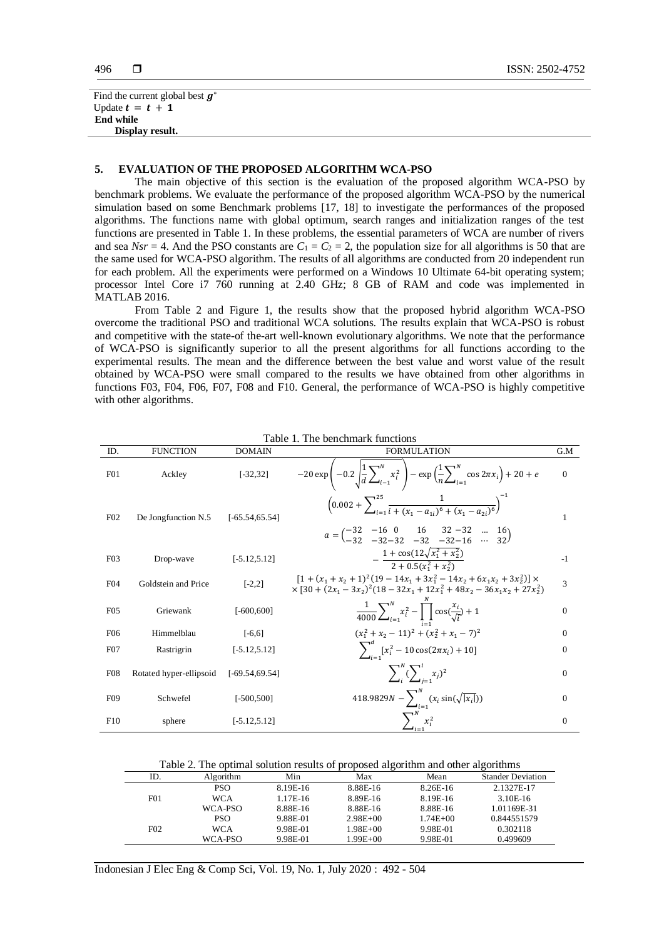```
Find the current global best g^*Update t = t + 1End while
    Display result.
```
#### **5. EVALUATION OF THE PROPOSED ALGORITHM WCA-PSO**

The main objective of this section is the evaluation of the proposed algorithm WCA-PSO by benchmark problems. We evaluate the performance of the proposed algorithm WCA-PSO by the numerical simulation based on some Benchmark problems [17, 18] to investigate the performances of the proposed algorithms. The functions name with global optimum, search ranges and initialization ranges of the test functions are presented in Table 1. In these problems, the essential parameters of WCA are number of rivers and sea  $Nsr = 4$ . And the PSO constants are  $C_1 = C_2 = 2$ , the population size for all algorithms is 50 that are the same used for WCA-PSO algorithm. The results of all algorithms are conducted from 20 independent run for each problem. All the experiments were performed on a Windows 10 Ultimate 64-bit operating system; processor Intel Core i7 760 running at 2.40 GHz; 8 GB of RAM and code was implemented in MATLAB 2016.

From Table 2 and Figure 1, the results show that the proposed hybrid algorithm WCA-PSO overcome the traditional PSO and traditional WCA solutions. The results explain that WCA-PSO is robust and competitive with the state-of the-art well-known evolutionary algorithms. We note that the performance of WCA-PSO is significantly superior to all the present algorithms for all functions according to the experimental results. The mean and the difference between the best value and worst value of the result obtained by WCA-PSO were small compared to the results we have obtained from other algorithms in functions F03, F04, F06, F07, F08 and F10. General, the performance of WCA-PSO is highly competitive with other algorithms.

| ID.             | <b>FUNCTION</b>         | <b>DOMAIN</b>     | <b>FORMULATION</b>                                                                                                                                                                                                                                                                                  | G.M          |
|-----------------|-------------------------|-------------------|-----------------------------------------------------------------------------------------------------------------------------------------------------------------------------------------------------------------------------------------------------------------------------------------------------|--------------|
| F01             | Ackley                  | $[-32, 32]$       | $-20 \exp \left(-0.2 \int_{a}^{1} \frac{1}{4} \sum_{i=1}^{N} x_i^2 \right) - \exp \left(\frac{1}{n} \sum_{i=1}^{N} \cos 2\pi x_i \right) + 20 + e$                                                                                                                                                  | $\Omega$     |
| F02             | De Jongfunction N.5     | $[-65.54, 65.54]$ | $\left(0.002+\sum_{i=1}^{25}\frac{1}{i+(x_i-a_{ii})^6+(x_1-a_{ii})^6}\right)^{-1}$<br>$a = \begin{pmatrix} -32 & -16 & 0 & 16 & 32 & -32 & \dots & 16 \\ -32 & -32 & -32 & -32 & -32 & -16 & \dots & 32 \end{pmatrix}$                                                                              | 1            |
|                 |                         |                   |                                                                                                                                                                                                                                                                                                     |              |
| F03             | Drop-wave               | $[-5.12, 5.12]$   | $-\frac{1+\cos(12\sqrt{x_1^2+x_2^2})}{2+0.5(x_1^2+x_2^2)}$                                                                                                                                                                                                                                          | $-1$         |
| F <sub>04</sub> | Goldstein and Price     | $[-2,2]$          | $[1 + (x_1 + x_2 + 1)^2 (19 - 14x_1 + 3x_1^2 - 14x_2 + 6x_1x_2 + 3x_2^2)] \times$<br>$\times$ [30 + (2x <sub>1</sub> - 3x <sub>2</sub> ) <sup>2</sup> (18 - 32x <sub>1</sub> + 12x <sub>1</sub> <sup>2</sup> + 48x <sub>2</sub> - 36x <sub>1</sub> x <sub>2</sub> + 27x <sub>2</sub> <sup>2</sup> ) | 3            |
| F <sub>05</sub> | Griewank                | $F - 600,600$     | $\frac{1}{4000}\sum_{i=1}^{N}x_i^2-\prod_{i=1}^{N}\cos(\frac{x_i}{\sqrt{i}})+1$                                                                                                                                                                                                                     | $\theta$     |
| F <sub>06</sub> | Himmelblau              | $[-6, 6]$         | $(x_1^2 + x_2 - 11)^2 + (x_2^2 + x_1 - 7)^2$                                                                                                                                                                                                                                                        | $\mathbf{0}$ |
| F <sub>07</sub> | Rastrigrin              | $[-5.12, 5.12]$   | $\sum_{i=1}^{a} [x_i^2 - 10 \cos(2\pi x_i) + 10]$                                                                                                                                                                                                                                                   | $\bf{0}$     |
| F <sub>08</sub> | Rotated hyper-ellipsoid | $[-69.54, 69.54]$ | $\sum_{i}^{N} (\sum_{i=1}^{i} x_i)^2$                                                                                                                                                                                                                                                               | $\Omega$     |
| F <sub>09</sub> | Schwefel                | $[-500, 500]$     | 418.9829 $N - \sum_{i=1}^{N} (x_i \sin(\sqrt{ x_i }))$                                                                                                                                                                                                                                              | $\Omega$     |
| F10             | sphere                  | $[-5.12, 5.12]$   | $\sum_{i=1}^{N} x_i^2$                                                                                                                                                                                                                                                                              | $\theta$     |

Table 1. The benchmark functions

Table 2. The optimal solution results of proposed algorithm and other algorithms

| ID.             | Algorithm  | Min      | Max          | Mean         | <b>Stander Deviation</b> |  |
|-----------------|------------|----------|--------------|--------------|--------------------------|--|
|                 | <b>PSO</b> | 8.19E-16 | 8.88E-16     | 8.26E-16     | 2.1327E-17               |  |
| F01             | <b>WCA</b> | 1.17E-16 | 8.89E-16     | 8.19E-16     | 3.10E-16                 |  |
|                 | WCA-PSO    | 8.88E-16 | 8.88E-16     | 8.88E-16     | 1.01169E-31              |  |
|                 | <b>PSO</b> | 9.88E-01 | $2.98E + 00$ | $1.74E + 00$ | 0.844551579              |  |
| F <sub>02</sub> | WCA        | 9.98E-01 | $1.98E + 00$ | 9.98E-01     | 0.302118                 |  |
|                 | WCA-PSO    | 9.98E-01 | $1.99E + 00$ | 9.98E-01     | 0.499609                 |  |

Indonesian J Elec Eng & Comp Sci, Vol. 19, No. 1, July 2020 : 492 - 504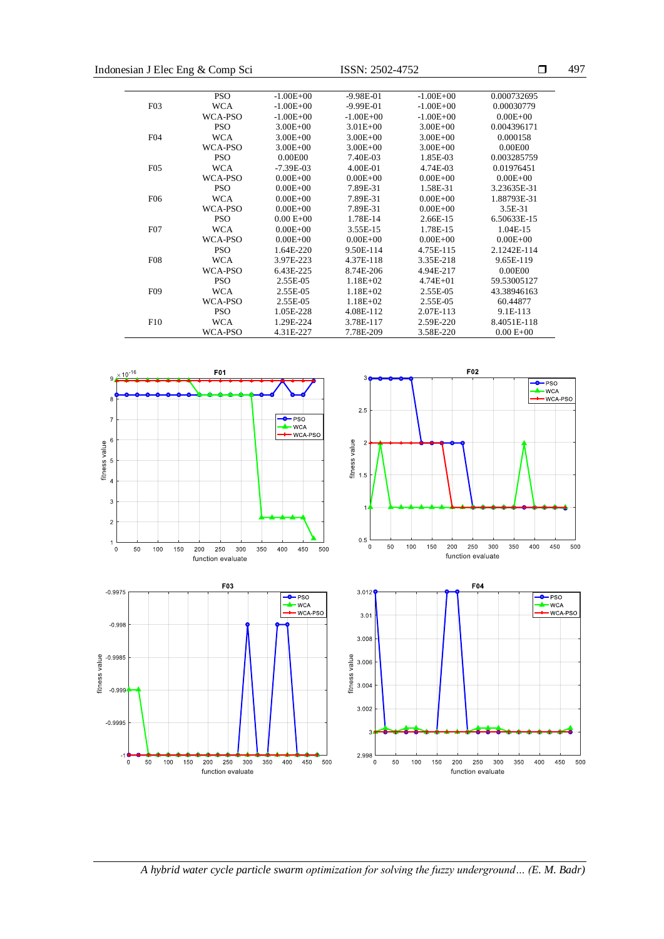| Indonesian J Elec Eng & Comp Sci |            |               | ISSN: 2502-4752 | □             | 497           |  |
|----------------------------------|------------|---------------|-----------------|---------------|---------------|--|
|                                  | <b>PSO</b> | $-1.00E + 00$ | $-9.98E - 01$   | $-1.00E + 00$ | 0.000732695   |  |
| F <sub>0</sub> 3                 | <b>WCA</b> | $-1.00E + 00$ | $-9.99E-01$     | $-1.00E + 00$ | 0.00030779    |  |
|                                  | WCA-PSO    | $-1.00E + 00$ | $-1.00E + 00$   | $-1.00E + 00$ | $0.00E + 00$  |  |
|                                  | <b>PSO</b> | $3.00E + 00$  | $3.01E + 00$    | $3.00E + 00$  | 0.004396171   |  |
| F04                              | <b>WCA</b> | $3.00E + 00$  | $3.00E + 00$    | $3.00E + 00$  | 0.000158      |  |
|                                  | WCA-PSO    | $3.00E + 00$  | $3.00E + 00$    | $3.00E + 00$  | 0.00E00       |  |
|                                  | <b>PSO</b> | 0.00E00       | 7.40E-03        | 1.85E-03      | 0.003285759   |  |
| F <sub>05</sub>                  | <b>WCA</b> | $-7.39E - 03$ | 4.00E-01        | 4.74E-03      | 0.01976451    |  |
|                                  | WCA-PSO    | $0.00E + 00$  | $0.00E + 00$    | $0.00E + 00$  | $0.00E + 00$  |  |
|                                  | <b>PSO</b> | $0.00E + 00$  | 7.89E-31        | 1.58E-31      | 3.23635E-31   |  |
| F <sub>06</sub>                  | <b>WCA</b> | $0.00E + 00$  | 7.89E-31        | $0.00E + 00$  | 1.88793E-31   |  |
|                                  | WCA-PSO    | $0.00E + 00$  | 7.89E-31        | $0.00E + 00$  | 3.5E-31       |  |
|                                  | <b>PSO</b> | $0.00 E + 00$ | 1.78E-14        | 2.66E-15      | 6.50633E-15   |  |
| F <sub>0</sub> 7                 | <b>WCA</b> | $0.00E + 00$  | 3.55E-15        | 1.78E-15      | 1.04E-15      |  |
|                                  | WCA-PSO    | $0.00E + 00$  | $0.00E + 00$    | $0.00E + 00$  | $0.00E + 00$  |  |
|                                  | <b>PSO</b> | 1.64E-220     | 9.50E-114       | 4.75E-115     | 2.1242E-114   |  |
| F <sub>08</sub>                  | <b>WCA</b> | 3.97E-223     | 4.37E-118       | 3.35E-218     | 9.65E-119     |  |
|                                  | WCA-PSO    | 6.43E-225     | 8.74E-206       | 4.94E-217     | 0.00E00       |  |
|                                  | <b>PSO</b> | 2.55E-05      | $1.18E + 02$    | $4.74E + 01$  | 59.53005127   |  |
| F <sub>09</sub>                  | <b>WCA</b> | 2.55E-05      | $1.18E + 02$    | 2.55E-05      | 43.38946163   |  |
|                                  | WCA-PSO    | 2.55E-05      | $1.18E + 02$    | 2.55E-05      | 60.44877      |  |
|                                  | <b>PSO</b> | 1.05E-228     | 4.08E-112       | 2.07E-113     | 9.1E-113      |  |
| F10                              | <b>WCA</b> | 1.29E-224     | 3.78E-117       | 2.59E-220     | 8.4051E-118   |  |
|                                  | WCA-PSO    | 4.31E-227     | 7.78E-209       | 3.58E-220     | $0.00 E + 00$ |  |



*A hybrid water cycle particle swarm optimization for solving the fuzzy underground… (E. M. Badr)*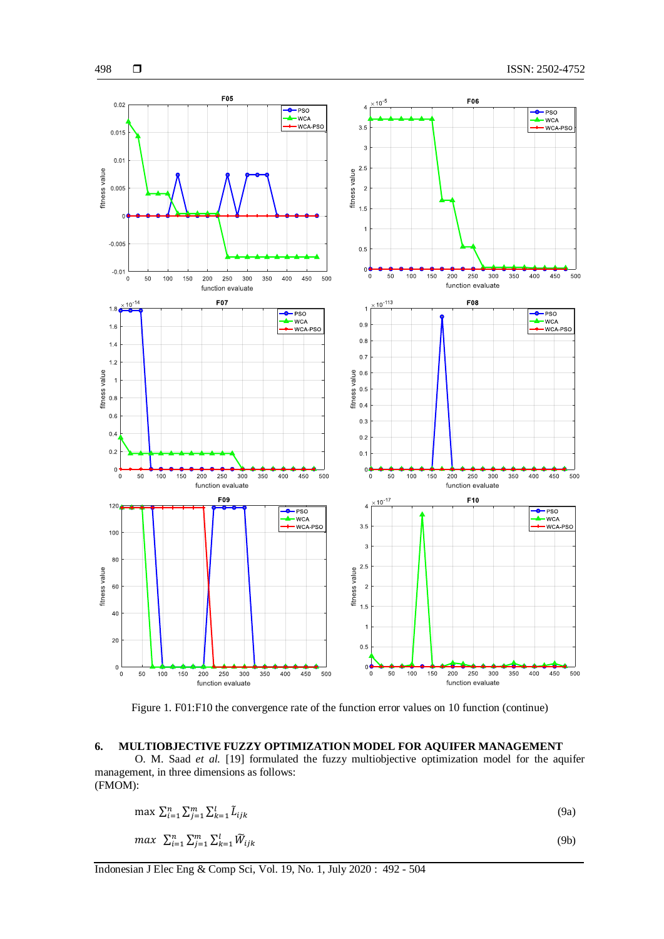

Figure 1. F01:F10 the convergence rate of the function error values on 10 function (continue)

# **6. MULTIOBJECTIVE FUZZY OPTIMIZATION MODEL FOR AQUIFER MANAGEMENT**

O. M. Saad *et al.* [19] formulated the fuzzy multiobjective optimization model for the aquifer management, in three dimensions as follows: (FMOM):

$$
\max \sum_{i=1}^{n} \sum_{j=1}^{m} \sum_{k=1}^{l} \tilde{L}_{ijk}
$$
\n
$$
\max \sum_{i=1}^{n} \sum_{j=1}^{m} \sum_{k=1}^{l} \tilde{W}_{ijk}
$$
\n(9a)\n(9b)

$$
max \ \ \Sigma_{l=1}^{n} \Sigma_{j=1}^{m} \Sigma_{k=1}^{l} \widetilde{W}_{ijk}
$$

Indonesian J Elec Eng & Comp Sci, Vol. 19, No. 1, July 2020 : 492 - 504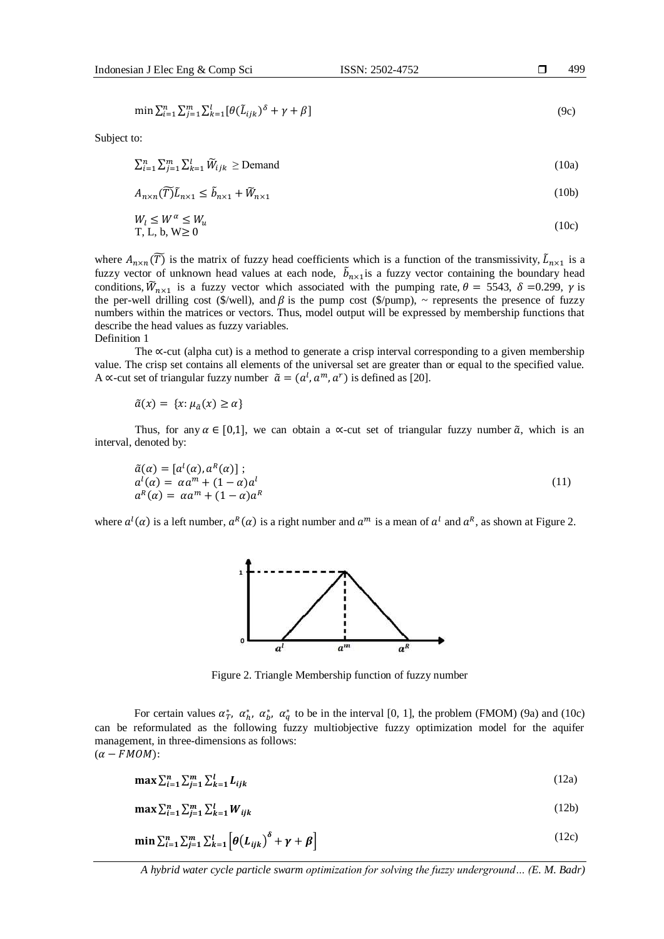$\min \sum_{i=1}^{n} \sum_{j=1}^{m} \sum_{k=1}^{l} [\theta(\tilde{L}_{ijk})^{\delta} + \gamma + \beta]$ (9c)

Subject to:

 $\sum_{i=1}^{n} \sum_{j=1}^{m} \sum_{k=1}^{l} \widetilde{W}_{ijk} \geq \text{Demand}$ (10a)

$$
A_{n \times n}(\widetilde{T})\widetilde{L}_{n \times 1} \le \widetilde{b}_{n \times 1} + \widetilde{W}_{n \times 1} \tag{10b}
$$

$$
W_l \le W^\alpha \le W_u
$$
  
T, L, b, W \ge 0 (10c)

where  $A_{n\times n}(\widetilde{T})$  is the matrix of fuzzy head coefficients which is a function of the transmissivity,  $\widetilde{L}_{n\times 1}$  is a fuzzy vector of unknown head values at each node,  $\tilde{b}_{n\times 1}$  is a fuzzy vector containing the boundary head conditions,  $\widetilde{W}_{n\times 1}$  is a fuzzy vector which associated with the pumping rate,  $\theta = 5543$ ,  $\delta = 0.299$ ,  $\gamma$  is the per-well drilling cost (\$/well), and  $\beta$  is the pump cost (\$/pump),  $\sim$  represents the presence of fuzzy numbers within the matrices or vectors. Thus, model output will be expressed by membership functions that describe the head values as fuzzy variables. Definition 1

The ∝-cut (alpha cut) is a method to generate a crisp interval corresponding to a given membership value. The crisp set contains all elements of the universal set are greater than or equal to the specified value. A  $\propto$ -cut set of triangular fuzzy number  $\tilde{a} = (a^l, a^m, a^r)$  is defined as [20].

 $\tilde{a}(x) = \{x: \mu_{\tilde{a}}(x) \ge \alpha\}$ 

Thus, for any  $\alpha \in [0,1]$ , we can obtain a ∝-cut set of triangular fuzzy number  $\tilde{\alpha}$ , which is an interval, denoted by:

 $\tilde{a}(\alpha) = [a^l(\alpha), a^R(\alpha)]$ ;  $a^l(\alpha) = \alpha a^m + (1 - \alpha) a^l$  $a^R(\alpha) = \alpha a^m + (1 - \alpha) a^R$ (11)

where  $a^l(\alpha)$  is a left number,  $a^R(\alpha)$  is a right number and  $a^m$  is a mean of  $a^l$  and  $a^R$ , as shown at Figure 2.



Figure 2. Triangle Membership function of fuzzy number

For certain values  $\alpha^*_T$ ,  $\alpha^*_h$ ,  $\alpha^*_h$ ,  $\alpha^*_q$  to be in the interval [0, 1], the problem (FMOM) (9a) and (10c) can be reformulated as the following fuzzy multiobjective fuzzy optimization model for the aquifer management, in three-dimensions as follows:  $(\alpha - FMOM):$ 

$$
\max \sum_{i=1}^{n} \sum_{j=1}^{m} \sum_{k=1}^{l} L_{ijk}
$$
 (12a)

 $\max \sum_{i=1}^n \sum_{j=1}^m \sum_{k=1}^l W_{ijk}$ (12b)

$$
\min \sum_{i=1}^{n} \sum_{j=1}^{m} \sum_{k=1}^{l} \left[ \theta(L_{ijk})^{\delta} + \gamma + \beta \right]
$$
\n(12c)

499

*A hybrid water cycle particle swarm optimization for solving the fuzzy underground… (E. M. Badr)*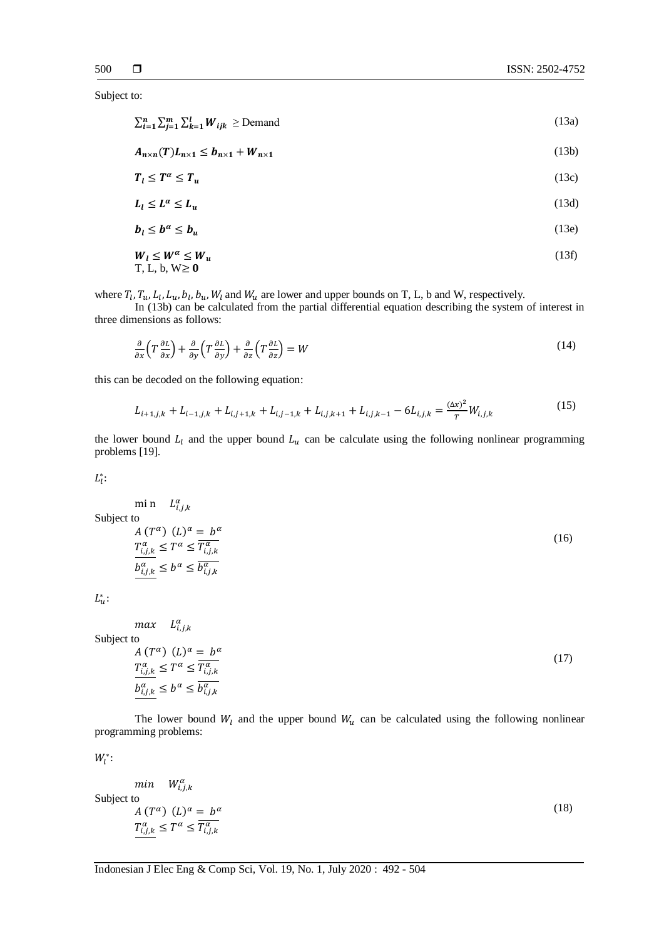Subject to:

 $\sum_{i=1}^{n} \sum_{j=1}^{m} \sum_{k=1}^{l} W_{ijk} \geq$ Demand (13a)

$$
A_{n \times n}(T)L_{n \times 1} \leq b_{n \times 1} + W_{n \times 1} \tag{13b}
$$

$$
T_l \le T^{\alpha} \le T_u \tag{13c}
$$

$$
L_l \le L^{\alpha} \le L_u \tag{13d}
$$

$$
b_l \le b^\alpha \le b_u \tag{13e}
$$

$$
W_l \le W^{\alpha} \le W_u
$$
  
T, L, b, W \ge 0 (13f)

where  $T_l$ ,  $T_u$ ,  $L_l$ ,  $L_u$ ,  $b_l$ ,  $b_u$ ,  $W_l$  and  $W_u$  are lower and upper bounds on T, L, b and W, respectively.

In (13b) can be calculated from the partial differential equation describing the system of interest in three dimensions as follows:

$$
\frac{\partial}{\partial x}\left(T\frac{\partial L}{\partial x}\right) + \frac{\partial}{\partial y}\left(T\frac{\partial L}{\partial y}\right) + \frac{\partial}{\partial z}\left(T\frac{\partial L}{\partial z}\right) = W\tag{14}
$$

this can be decoded on the following equation:

$$
L_{i+1,j,k} + L_{i-1,j,k} + L_{i,j+1,k} + L_{i,j-1,k} + L_{i,j,k+1} + L_{i,j,k-1} - 6L_{i,j,k} = \frac{(\Delta x)^2}{T} W_{i,j,k}
$$
\n(15)

the lower bound  $L_l$  and the upper bound  $L_u$  can be calculate using the following nonlinear programming problems [19].

 $L_l^*$ :

mi n  $L_{i,j,k}^{\alpha}$ Subject to

$$
A(T^{\alpha}) (L)^{\alpha} = b^{\alpha}
$$
  
\n
$$
\frac{T_{i,j,k}^{\alpha}}{b_{i,j,k}^{\alpha}} \le T^{\alpha} \le \frac{T_{i,j,k}^{\alpha}}{b_{i,j,k}^{\alpha}}
$$
  
\n
$$
(16)
$$

 $L_u^*$ :

 $max \quad L_{i,j,k}^{\alpha}$ Subject

to  
\n
$$
A (T^{\alpha}) (L)^{\alpha} = b^{\alpha}
$$
\n
$$
T^{\alpha}_{i,j,k} \leq T^{\alpha} \leq \overline{T^{\alpha}_{i,j,k}}
$$
\n
$$
b^{\alpha}_{i,j,k} \leq b^{\alpha} \leq \overline{b^{\alpha}_{i,j,k}}
$$
\n
$$
(17)
$$

The lower bound  $W_l$  and the upper bound  $W_u$  can be calculated using the following nonlinear programming problems:

 $W_l^*$ :

 $min$   $W^{\alpha}_{i,j,k}$  (18) Subject to  $A(T^{\alpha})$   $(L)^{\alpha} = b^{\alpha}$  $T_{i,j,k}^{\alpha} \leq T^{\alpha} \leq \overline{T_{i,j,k}^{\alpha}}$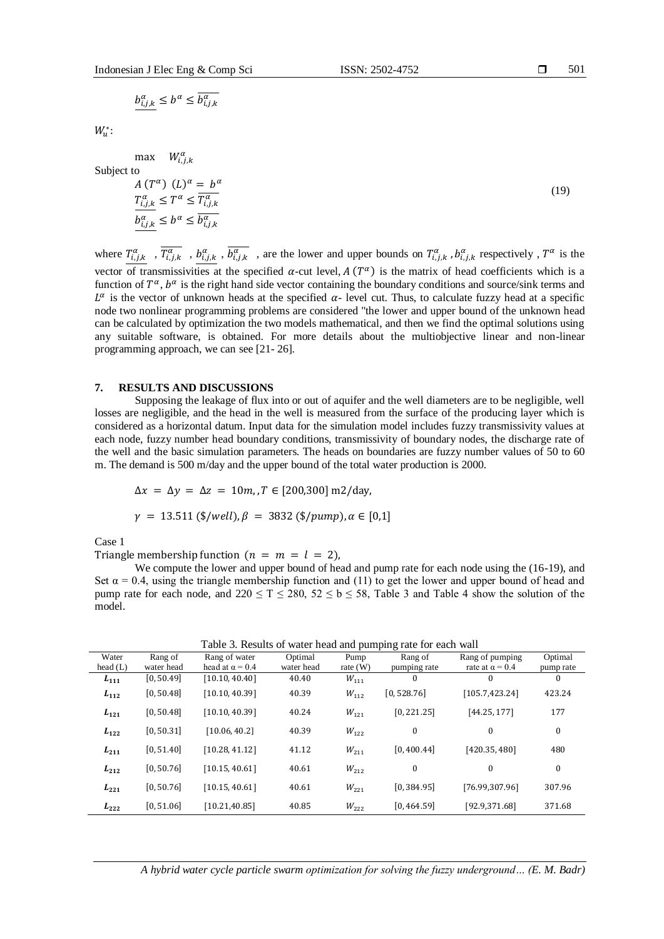$b^{\alpha}_{i,j,k} \leq b^{\alpha} \leq \overline{b^{\alpha}_{i,j,k}}$ 

 $W_u^*$ :

max  $W^{\alpha}_{i,j,k}$ Subject

to  
\n
$$
A (T^{\alpha}) (L)^{\alpha} = b^{\alpha}
$$
\n
$$
\frac{T_{i,j,k}^{\alpha}}{b_{i,j,k}^{\alpha}} \le T^{\alpha} \le \frac{T_{i,j,k}^{\alpha}}{b_{i,j,k}^{\alpha}}
$$
\n
$$
(19)
$$

where  $T^{\alpha}_{i,j,k}$ ,  $\overline{T^{\alpha}_{i,j,k}}$ ,  $b^{\alpha}_{i,j,k}$ ,  $\overline{b^{\alpha}_{i,j,k}}$ , are the lower and upper bounds on  $T^{\alpha}_{i,j,k}$ ,  $b^{\alpha}_{i,j,k}$  respectively,  $T^{\alpha}$  is the vector of transmissivities at the specified  $\alpha$ -cut level,  $A(T^{\alpha})$  is the matrix of head coefficients which is a function of  $T^{\alpha}$ ,  $b^{\alpha}$  is the right hand side vector containing the boundary conditions and source/sink terms and  $L^{\alpha}$  is the vector of unknown heads at the specified  $\alpha$ - level cut. Thus, to calculate fuzzy head at a specific node two nonlinear programming problems are considered "the lower and upper bound of the unknown head can be calculated by optimization the two models mathematical, and then we find the optimal solutions using any suitable software, is obtained. For more details about the multiobjective linear and non-linear programming approach, we can see [21- 26].

#### **7. RESULTS AND DISCUSSIONS**

Supposing the leakage of flux into or out of aquifer and the well diameters are to be negligible, well losses are negligible, and the head in the well is measured from the surface of the producing layer which is considered as a horizontal datum. Input data for the simulation model includes fuzzy transmissivity values at each node, fuzzy number head boundary conditions, transmissivity of boundary nodes, the discharge rate of the well and the basic simulation parameters. The heads on boundaries are fuzzy number values of 50 to 60 m. The demand is 500 m/day and the upper bound of the total water production is 2000.

$$
\Delta x = \Delta y = \Delta z = 10m, T \in [200, 300] \text{ m2/day},
$$

$$
\gamma = 13.511 \, (\text{\textsterling}/well), \beta = 3832 \, (\text{\textsterling}/pump), \alpha \in [0,1]
$$

Case 1

Triangle membership function  $(n = m = l = 2)$ ,

We compute the lower and upper bound of head and pump rate for each node using the (16-19), and Set  $\alpha$  = 0.4, using the triangle membership function and (11) to get the lower and upper bound of head and pump rate for each node, and  $220 \le T \le 280$ ,  $52 \le b \le 58$ , Table 3 and Table 4 show the solution of the model.

| Water<br>head $(L)$ | Rang of<br>water head | Rang of water<br>head at $\alpha$ = 0.4 | Optimal<br>water head | Pump<br>rate $(W)$ | I acie s. Results of water fiead and pumping rate for each wan<br>Rang of<br>pumping rate | Rang of pumping<br>rate at $\alpha$ = 0.4 | Optimal<br>pump rate |
|---------------------|-----------------------|-----------------------------------------|-----------------------|--------------------|-------------------------------------------------------------------------------------------|-------------------------------------------|----------------------|
| $L_{111}$           | [0, 50.49]            | [10.10, 40.40]                          | 40.40                 | $W_{111}$          | 0                                                                                         | $\theta$                                  | $\Omega$             |
| $L_{112}$           | [0, 50.48]            | [10.10, 40.39]                          | 40.39                 | $W_{112}$          | [0, 528.76]                                                                               | [105.7, 423.24]                           | 423.24               |
| $L_{121}$           | [0, 50.48]            | [10.10, 40.39]                          | 40.24                 | $W_{121}$          | [0, 221.25]                                                                               | [44.25, 177]                              | 177                  |
| $L_{122}$           | [0, 50.31]            | [10.06, 40.2]                           | 40.39                 | $W_{122}$          | 0                                                                                         | $\boldsymbol{0}$                          | $\mathbf{0}$         |
| $L_{211}$           | [0, 51.40]            | [10.28, 41.12]                          | 41.12                 | $W_{211}$          | [0, 400.44]                                                                               | [420.35, 480]                             | 480                  |
| $L_{212}$           | [0, 50.76]            | [10.15, 40.61]                          | 40.61                 | $W_{212}$          | 0                                                                                         | $\theta$                                  | $\bf{0}$             |
| $L_{221}$           | [0, 50.76]            | [10.15, 40.61]                          | 40.61                 | $W_{221}$          | [0, 384.95]                                                                               | [76.99,307.96]                            | 307.96               |
| $L_{222}$           | [0, 51.06]            | [10.21, 40.85]                          | 40.85                 | $W_{222}$          | [0, 464.59]                                                                               | [92.9.371.68]                             | 371.68               |

Table 3. Results of water head and pumping rate for each wall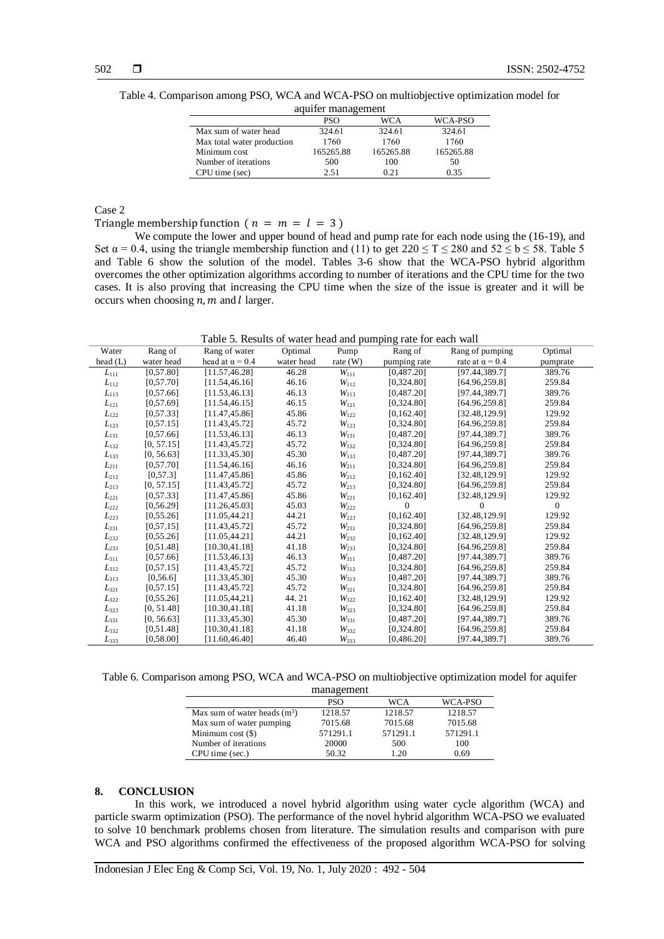Table 4. Comparison among PSO, WCA and WCA-PSO on multiobjective optimization model for aquifer management

| aquiter management         |            |           |           |  |  |  |
|----------------------------|------------|-----------|-----------|--|--|--|
|                            | <b>PSO</b> | WCA       | WCA-PSO   |  |  |  |
| Max sum of water head      | 324.61     | 324.61    | 324.61    |  |  |  |
| Max total water production | 1760       | 1760      | 1760      |  |  |  |
| Minimum cost               | 165265.88  | 165265.88 | 165265.88 |  |  |  |
| Number of iterations       | 500        | 100       | 50        |  |  |  |
| CPU time (sec)             | 2.51       | 0.21      | 0.35      |  |  |  |

# Case 2

Triangle membership function ( $n = m = l = 3$ )

We compute the lower and upper bound of head and pump rate for each node using the (16-19), and Set  $\alpha = 0.4$ , using the triangle membership function and (11) to get  $220 \le T \le 280$  and  $52 \le b \le 58$ . Table 5 and Table 6 show the solution of the model. Tables 3-6 show that the WCA-PSO hybrid algorithm overcomes the other optimization algorithms according to number of iterations and the CPU time for the two cases. It is also proving that increasing the CPU time when the size of the issue is greater and it will be occurs when choosing  $n, m$  and  $l$  larger.

Table 5. Results of water head and pumping rate for each wall

| Water      | Rang of    | Rang of water          | Optimal    | Pump       | Rang of      | Rang of pumping        | Optimal      |
|------------|------------|------------------------|------------|------------|--------------|------------------------|--------------|
| head $(L)$ | water head | head at $\alpha$ = 0.4 | water head | rate $(W)$ | pumping rate | rate at $\alpha$ = 0.4 | pumprate     |
| $L_{111}$  | [0, 57.80] | [11.57, 46.28]         | 46.28      | $W_{111}$  | [0,487.20]   | [97.44,389.7]          | 389.76       |
| $L_{112}$  | [0, 57.70] | [11.54, 46.16]         | 46.16      | $W_{112}$  | [0, 324.80]  | [64.96, 259.8]         | 259.84       |
| $L_{113}$  | [0, 57.66] | [11.53, 46.13]         | 46.13      | $W_{113}$  | [0,487.20]   | [97.44,389.7]          | 389.76       |
| $L_{121}$  | [0.57.69]  | [11.54, 46.15]         | 46.15      | $W_{121}$  | [0, 324.80]  | [64.96, 259.8]         | 259.84       |
| $L_{122}$  | [0, 57.33] | [11.47, 45.86]         | 45.86      | $W_{122}$  | [0, 162.40]  | [32.48, 129.9]         | 129.92       |
| $L_{123}$  | [0, 57.15] | [11.43, 45.72]         | 45.72      | $W_{123}$  | [0,324.80]   | [64.96, 259.8]         | 259.84       |
| $L_{131}$  | [0, 57.66] | [11.53, 46.13]         | 46.13      | $W_{131}$  | [0,487.20]   | [97.44,389.7]          | 389.76       |
| $L_{132}$  | [0, 57.15] | [11.43, 45.72]         | 45.72      | $W_{132}$  | [0, 324.80]  | [64.96, 259.8]         | 259.84       |
| $L_{133}$  | [0, 56.63] | [11.33, 45.30]         | 45.30      | $W_{133}$  | [0,487.20]   | [97.44,389.7]          | 389.76       |
| $L_{211}$  | [0, 57.70] | [11.54, 46.16]         | 46.16      | $W_{211}$  | [0,324.80]   | [64.96, 259.8]         | 259.84       |
| $L_{212}$  | [0, 57.3]  | [11.47, 45.86]         | 45.86      | $W_{212}$  | [0, 162.40]  | [32.48, 129.9]         | 129.92       |
| $L_{213}$  | [0, 57.15] | [11.43, 45.72]         | 45.72      | $W_{213}$  | [0,324.80]   | [64.96, 259.8]         | 259.84       |
| $L_{221}$  | [0, 57.33] | [11.47, 45.86]         | 45.86      | $W_{221}$  | [0, 162.40]  | [32.48, 129.9]         | 129.92       |
| $L_{222}$  | [0, 56.29] | [11.26, 45.03]         | 45.03      | $W_{222}$  | $\mathbf{0}$ | $\overline{0}$         | $\mathbf{0}$ |
| $L_{223}$  | [0, 55.26] | [11.05, 44.21]         | 44.21      | $W_{223}$  | [0, 162.40]  | [32.48, 129.9]         | 129.92       |
| $L_{231}$  | [0, 57.15] | [11.43, 45.72]         | 45.72      | $W_{231}$  | [0, 324.80]  | [64.96, 259.8]         | 259.84       |
| $L_{232}$  | [0, 55.26] | [11.05, 44.21]         | 44.21      | $W_{232}$  | [0, 162.40]  | [32.48, 129.9]         | 129.92       |
| $L_{233}$  | [0,51.48]  | [10.30, 41.18]         | 41.18      | $W_{233}$  | [0,324.80]   | [64.96, 259.8]         | 259.84       |
| $L_{311}$  | [0, 57.66] | [11.53, 46.13]         | 46.13      | $W_{311}$  | [0,487.20]   | [97.44, 389.7]         | 389.76       |
| $L_{312}$  | [0, 57.15] | [11.43, 45.72]         | 45.72      | $W_{312}$  | [0,324.80]   | [64.96, 259.8]         | 259.84       |
| $L_{313}$  | [0, 56.6]  | [11.33, 45.30]         | 45.30      | $W_{313}$  | [0,487.20]   | [97.44,389.7]          | 389.76       |
| $L_{321}$  | [0, 57.15] | [11.43, 45.72]         | 45.72      | $W_{321}$  | [0, 324.80]  | [64.96, 259.8]         | 259.84       |
| $L_{322}$  | [0, 55.26] | [11.05, 44, 21]        | 44.21      | $W_{322}$  | [0, 162.40]  | [32.48,129.9]          | 129.92       |
| $L_{323}$  | [0, 51.48] | [10.30, 41.18]         | 41.18      | $W_{323}$  | [0, 324.80]  | [64.96, 259.8]         | 259.84       |
| $L_{331}$  | [0, 56.63] | [11.33, 45.30]         | 45.30      | $W_{331}$  | [0,487.20]   | [97.44, 389.7]         | 389.76       |
| $L_{332}$  | [0,51.48]  | [10.30, 41.18]         | 41.18      | $W_{332}$  | [0, 324.80]  | [64.96, 259.8]         | 259.84       |
| $L_{333}$  | [0, 58.00] | [11.60, 46.40]         | 46.40      | $W_{333}$  | [0,486.20]   | [97.44,389.7]          | 389.76       |

Table 6. Comparison among PSO, WCA and WCA-PSO on multiobjective optimization model for aquifer management

| management                    |            |            |          |  |  |  |
|-------------------------------|------------|------------|----------|--|--|--|
|                               | <b>PSO</b> | <b>WCA</b> | WCA-PSO  |  |  |  |
| Max sum of water heads $(m3)$ | 1218.57    | 1218.57    | 1218.57  |  |  |  |
| Max sum of water pumping      | 7015.68    | 7015.68    | 7015.68  |  |  |  |
| Minimum $cost(\$))$           | 571291.1   | 571291.1   | 571291.1 |  |  |  |
| Number of iterations          | 20000      | 500        | 100      |  |  |  |
| CPU time (sec.)               | 50.32      | 1.20       | 0.69     |  |  |  |

## **8. CONCLUSION**

In this work, we introduced a novel hybrid algorithm using water cycle algorithm (WCA) and particle swarm optimization (PSO). The performance of the novel hybrid algorithm WCA-PSO we evaluated to solve 10 benchmark problems chosen from literature. The simulation results and comparison with pure WCA and PSO algorithms confirmed the effectiveness of the proposed algorithm WCA-PSO for solving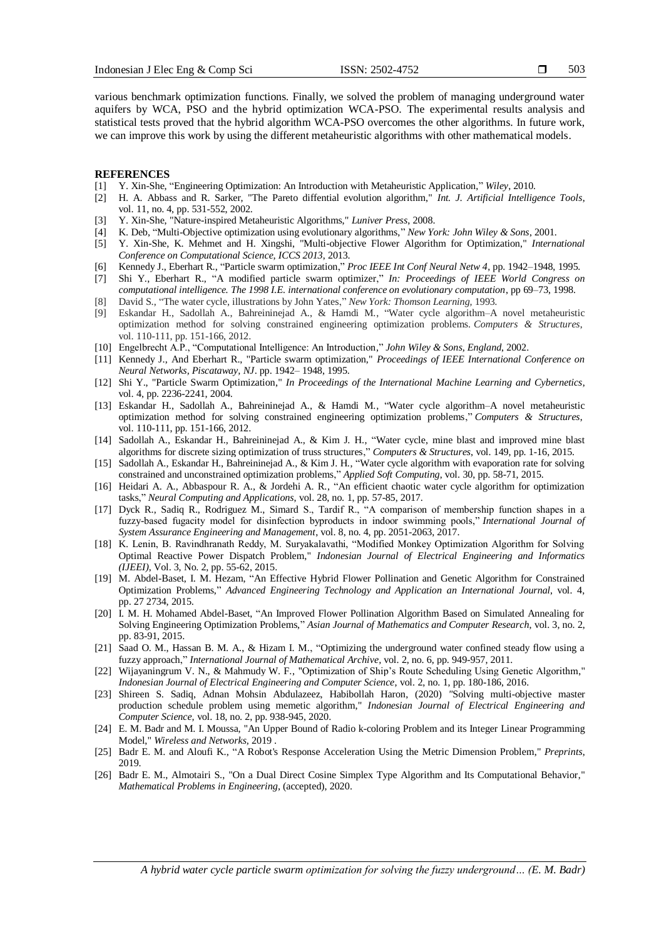503

various benchmark optimization functions. Finally, we solved the problem of managing underground water aquifers by WCA, PSO and the hybrid optimization WCA-PSO. The experimental results analysis and statistical tests proved that the hybrid algorithm WCA-PSO overcomes the other algorithms. In future work, we can improve this work by using the different metaheuristic algorithms with other mathematical models.

#### **REFERENCES**

- [1] Y. Xin-She, "Engineering Optimization: An Introduction with Metaheuristic Application," *Wiley*, 2010.
- [2] H. A. Abbass and R. Sarker, "The Pareto diffential evolution algorithm," *Int. J. Artificial Intelligence Tools*, vol. 11, no. 4, pp. 531-552, 2002.
- [3] Y. Xin-She, "Nature-inspired Metaheuristic Algorithms," *Luniver Press*, 2008.
- [4] K. Deb, "Multi-Objective optimization using evolutionary algorithms," *New York: John Wiley & Sons*, 2001.
- [5] Y. Xin-She, K. Mehmet and H. Xingshi, "Multi-objective Flower Algorithm for Optimization," *International Conference on Computational Science, ICCS 2013*, 2013.
- [6] Kennedy J., Eberhart R., "Particle swarm optimization," *Proc IEEE Int Conf Neural Netw 4*, pp. 1942–1948, 1995. [7] Shi Y., Eberhart R., "A modified particle swarm optimizer," *In: Proceedings of IEEE World Congress on*
- *computational intelligence. The 1998 I.E. international conference on evolutionary computation*, pp 69–73, 1998. [8] David S., "The water cycle, illustrations by John Yates," *New York: Thomson Learning,* 1993*.*
- [9] Eskandar H., Sadollah A., Bahreininejad A., & Hamdi M., "Water cycle algorithm–A novel metaheuristic optimization method for solving constrained engineering optimization problems. *Computers & Structures*, vol. 110-111, pp. 151-166, 2012.
- [10] Engelbrecht A.P., "Computational Intelligence: An Introduction," *John Wiley & Sons, England*, 2002.
- [11] Kennedy J., And Eberhart R., "Particle swarm optimization," *Proceedings of IEEE International Conference on Neural Networks, Piscataway, NJ*. pp. 1942– 1948, 1995.
- [12] Shi Y., "Particle Swarm Optimization," *In Proceedings of the International Machine Learning and Cybernetics*, vol. 4, pp. 2236-2241, 2004.
- [13] Eskandar H., Sadollah A., Bahreininejad A., & Hamdi M., "Water cycle algorithm–A novel metaheuristic optimization method for solving constrained engineering optimization problems," *Computers & Structures*, vol. 110-111, pp. 151-166, 2012.
- [14] Sadollah A., Eskandar H., Bahreininejad A., & Kim J. H., "Water cycle, mine blast and improved mine blast algorithms for discrete sizing optimization of truss structures," *Computers & Structures*, vol. 149, pp. 1-16, 2015.
- [15] Sadollah A., Eskandar H., Bahreininejad A., & Kim J. H., "Water cycle algorithm with evaporation rate for solving constrained and unconstrained optimization problems," *Applied Soft Computing*, vol. 30, pp. 58-71, 2015.
- [16] Heidari A. A., Abbaspour R. A., & Jordehi A. R., "An efficient chaotic water cycle algorithm for optimization tasks," *Neural Computing and Applications*, vol. 28, no. 1, pp. 57-85, 2017.
- [17] Dyck R., Sadiq R., Rodriguez M., Simard S., Tardif R., "A comparison of membership function shapes in a fuzzy-based fugacity model for disinfection byproducts in indoor swimming pools," *International Journal of System Assurance Engineering and Management*, vol. 8, no. 4, pp. 2051-2063, 2017.
- [18] K. Lenin, B. Ravindhranath Reddy, M. Suryakalavathi, "Modified Monkey Optimization Algorithm for Solving Optimal Reactive Power Dispatch Problem," *Indonesian Journal of Electrical Engineering and Informatics (IJEEI)*, Vol. 3, No. 2, pp. 55-62, 2015.
- [19] M. Abdel-Baset, I. M. Hezam, "An Effective Hybrid Flower Pollination and Genetic Algorithm for Constrained Optimization Problems," *Advanced Engineering Technology and Application an International Journal*, vol. 4, pp. 27 2734, 2015.
- [20] I. M. H. Mohamed Abdel-Baset, "An Improved Flower Pollination Algorithm Based on Simulated Annealing for Solving Engineering Optimization Problems," *Asian Journal of Mathematics and Computer Research*, vol. 3, no. 2, pp. 83-91, 2015.
- [21] Saad O. M., Hassan B. M. A., & Hizam I. M., "Optimizing the underground water confined steady flow using a fuzzy approach," *International Journal of Mathematical Archive,* vol. 2, no. 6, pp. 949-957, 2011.
- [22] Wijayaningrum V. N., & Mahmudy W. F., "Optimization of Ship's Route Scheduling Using Genetic Algorithm," *Indonesian Journal of Electrical Engineering and Computer Science*, vol. 2, no. 1, pp. 180-186, 2016.
- [23] Shireen S. Sadiq, Adnan Mohsin Abdulazeez, Habibollah Haron, (2020) *"*Solving multi-objective master production schedule problem using memetic algorithm," *Indonesian Journal of Electrical Engineering and Computer Science,* vol. 18, no. 2, pp. 938-945, 2020.
- [24] E. M. Badr and M. I. Moussa, "An Upper Bound of Radio k-coloring Problem and its Integer Linear [Programming](http://bu.edu.eg/staff/alsayedbadr7-publications/37919) Model," *Wireless and [Networks,](http://bu.edu.eg/staff/alsayedbadr7-publications/37919)* [2019](http://bu.edu.eg/staff/alsayedbadr7-publications/37919) .
- [25] Badr E. M. and Aloufi K., "A Robot's Response Acceleration Using the Metric Dimension Problem," *Preprints*, 2019.
- [26] Badr E. M., Almotairi S., "On a Dual Direct Cosine Simplex Type Algorithm and Its Computational Behavior," *Mathematical Problems in Engineering*, (accepted), 2020.